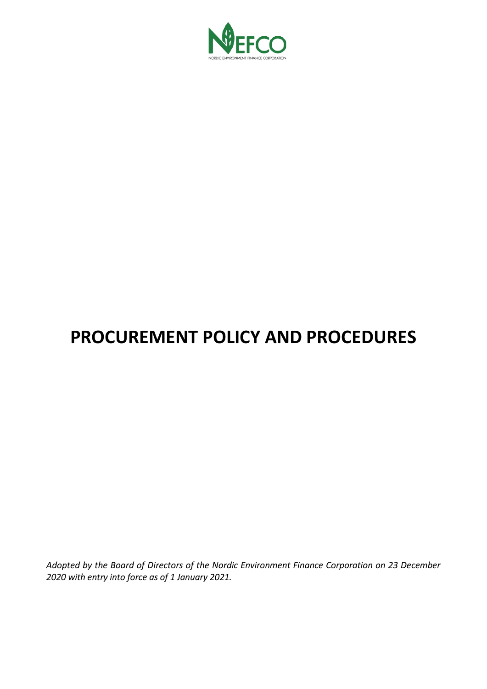

# **PROCUREMENT POLICY AND PROCEDURES**

*Adopted by the Board of Directors of the Nordic Environment Finance Corporation on 23 December 2020 with entry into force as of 1 January 2021.*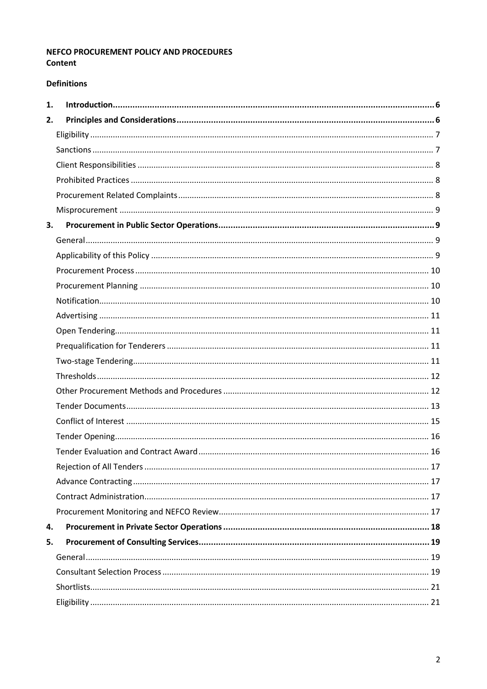# NEFCO PROCUREMENT POLICY AND PROCEDURES Content

## **Definitions**

| 1. |  |
|----|--|
| 2. |  |
|    |  |
|    |  |
|    |  |
|    |  |
|    |  |
|    |  |
| 3. |  |
|    |  |
|    |  |
|    |  |
|    |  |
|    |  |
|    |  |
|    |  |
|    |  |
|    |  |
|    |  |
|    |  |
|    |  |
|    |  |
|    |  |
|    |  |
|    |  |
|    |  |
|    |  |
|    |  |
| 4. |  |
| 5. |  |
|    |  |
|    |  |
|    |  |
|    |  |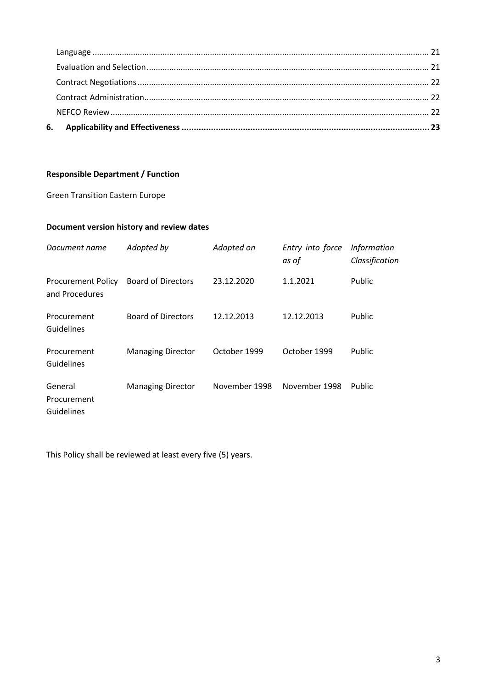# **Responsible Department / Function**

Green Transition Eastern Europe

# **Document version history and review dates**

| Document name                               | Adopted by                | Adopted on    | Entry into force<br>as of | <b>Information</b><br>Classification |
|---------------------------------------------|---------------------------|---------------|---------------------------|--------------------------------------|
| <b>Procurement Policy</b><br>and Procedures | <b>Board of Directors</b> | 23.12.2020    | 1.1.2021                  | Public                               |
| Procurement<br>Guidelines                   | <b>Board of Directors</b> | 12.12.2013    | 12.12.2013                | Public                               |
| Procurement<br>Guidelines                   | <b>Managing Director</b>  | October 1999  | October 1999              | Public                               |
| General<br>Procurement<br>Guidelines        | <b>Managing Director</b>  | November 1998 | November 1998             | Public                               |

This Policy shall be reviewed at least every five (5) years.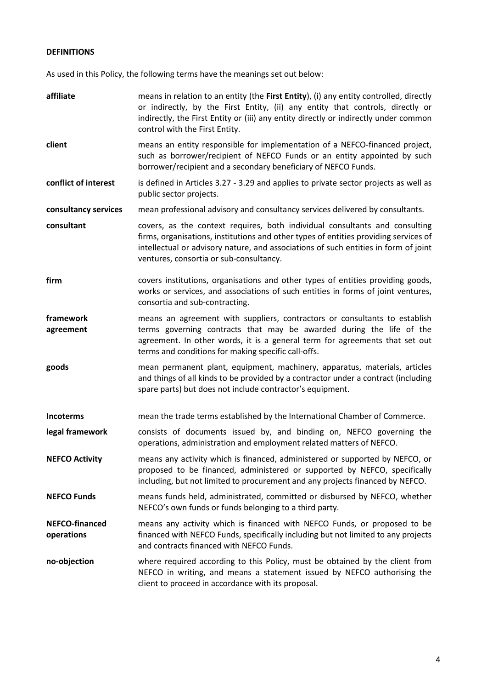#### **DEFINITIONS**

As used in this Policy, the following terms have the meanings set out below:

**affiliate** means in relation to an entity (the **First Entity**), (i) any entity controlled, directly or indirectly, by the First Entity, (ii) any entity that controls, directly or indirectly, the First Entity or (iii) any entity directly or indirectly under common control with the First Entity. **client** means an entity responsible for implementation of a NEFCO-financed project, such as borrower/recipient of NEFCO Funds or an entity appointed by such borrower/recipient and a secondary beneficiary of NEFCO Funds. **conflict of interest** is defined in Articles 3.27 - 3.29 and applies to private sector projects as well as public sector projects. **consultancy services** mean professional advisory and consultancy services delivered by consultants. **consultant** covers, as the context requires, both individual consultants and consulting firms, organisations, institutions and other types of entities providing services of intellectual or advisory nature, and associations of such entities in form of joint ventures, consortia or sub-consultancy. **firm** covers institutions, organisations and other types of entities providing goods, works or services, and associations of such entities in forms of joint ventures, consortia and sub-contracting. **framework agreement** means an agreement with suppliers, contractors or consultants to establish terms governing contracts that may be awarded during the life of the agreement. In other words, it is a general term for agreements that set out terms and conditions for making specific call-offs. **goods** mean permanent plant, equipment, machinery, apparatus, materials, articles and things of all kinds to be provided by a contractor under a contract (including spare parts) but does not include contractor's equipment. **Incoterms** mean the trade terms established by the International Chamber of Commerce. **legal framework** consists of documents issued by, and binding on, NEFCO governing the operations, administration and employment related matters of NEFCO. **NEFCO Activity** means any activity which is financed, administered or supported by NEFCO, or proposed to be financed, administered or supported by NEFCO, specifically including, but not limited to procurement and any projects financed by NEFCO. **NEFCO Funds** means funds held, administrated, committed or disbursed by NEFCO, whether NEFCO's own funds or funds belonging to a third party. **NEFCO-financed operations** means any activity which is financed with NEFCO Funds, or proposed to be financed with NEFCO Funds, specifically including but not limited to any projects and contracts financed with NEFCO Funds. **no-objection** where required according to this Policy, must be obtained by the client from NEFCO in writing, and means a statement issued by NEFCO authorising the client to proceed in accordance with its proposal.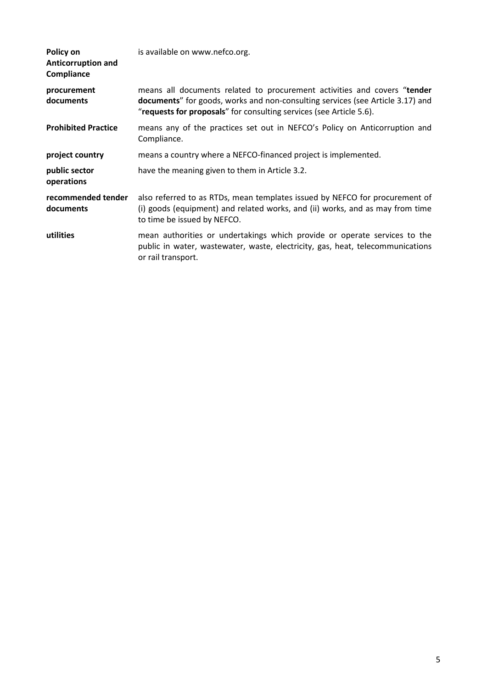| Policy on<br>Anticorruption and<br>Compliance | is available on www.nefco.org.                                                                                                                                                                                                    |
|-----------------------------------------------|-----------------------------------------------------------------------------------------------------------------------------------------------------------------------------------------------------------------------------------|
| procurement<br>documents                      | means all documents related to procurement activities and covers "tender<br>documents" for goods, works and non-consulting services (see Article 3.17) and<br>"requests for proposals" for consulting services (see Article 5.6). |
| <b>Prohibited Practice</b>                    | means any of the practices set out in NEFCO's Policy on Anticorruption and<br>Compliance.                                                                                                                                         |
| project country                               | means a country where a NEFCO-financed project is implemented.                                                                                                                                                                    |
| public sector<br>operations                   | have the meaning given to them in Article 3.2.                                                                                                                                                                                    |
| recommended tender<br>documents               | also referred to as RTDs, mean templates issued by NEFCO for procurement of<br>(i) goods (equipment) and related works, and (ii) works, and as may from time<br>to time be issued by NEFCO.                                       |
| utilities                                     | mean authorities or undertakings which provide or operate services to the<br>public in water, wastewater, waste, electricity, gas, heat, telecommunications<br>or rail transport.                                                 |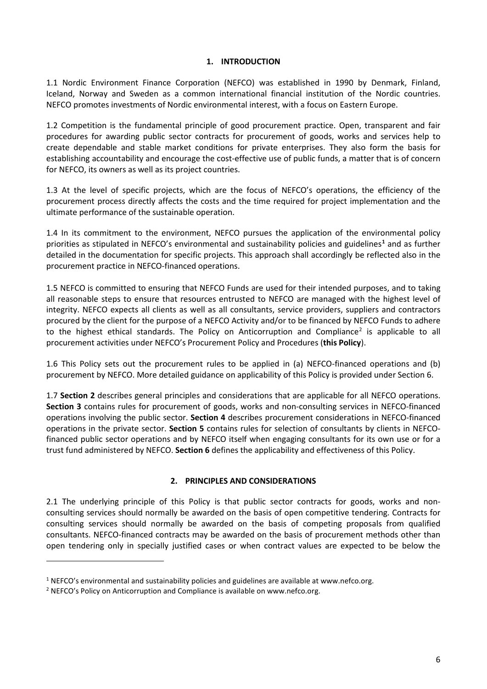## **1. INTRODUCTION**

<span id="page-5-0"></span>1.1 Nordic Environment Finance Corporation (NEFCO) was established in 1990 by Denmark, Finland, Iceland, Norway and Sweden as a common international financial institution of the Nordic countries. NEFCO promotes investments of Nordic environmental interest, with a focus on Eastern Europe.

1.2 Competition is the fundamental principle of good procurement practice. Open, transparent and fair procedures for awarding public sector contracts for procurement of goods, works and services help to create dependable and stable market conditions for private enterprises. They also form the basis for establishing accountability and encourage the cost-effective use of public funds, a matter that is of concern for NEFCO, its owners as well as its project countries.

1.3 At the level of specific projects, which are the focus of NEFCO's operations, the efficiency of the procurement process directly affects the costs and the time required for project implementation and the ultimate performance of the sustainable operation.

1.4 In its commitment to the environment, NEFCO pursues the application of the environmental policy priorities as stipulated in NEFCO's environmental and sustainability policies and guidelines**[1](#page-5-2)** and as further detailed in the documentation for specific projects. This approach shall accordingly be reflected also in the procurement practice in NEFCO-financed operations.

1.5 NEFCO is committed to ensuring that NEFCO Funds are used for their intended purposes, and to taking all reasonable steps to ensure that resources entrusted to NEFCO are managed with the highest level of integrity. NEFCO expects all clients as well as all consultants, service providers, suppliers and contractors procured by the client for the purpose of a NEFCO Activity and/or to be financed by NEFCO Funds to adhere to the highest ethical standards. The Policy on Anticorruption and Compliance<sup>[2](#page-5-3)</sup> is applicable to all procurement activities under NEFCO's Procurement Policy and Procedures (**this Policy**).

1.6 This Policy sets out the procurement rules to be applied in (a) NEFCO-financed operations and (b) procurement by NEFCO. More detailed guidance on applicability of this Policy is provided under Section 6.

1.7 **Section 2** describes general principles and considerations that are applicable for all NEFCO operations. **Section 3** contains rules for procurement of goods, works and non-consulting services in NEFCO-financed operations involving the public sector. **Section 4** describes procurement considerations in NEFCO-financed operations in the private sector. **Section 5** contains rules for selection of consultants by clients in NEFCOfinanced public sector operations and by NEFCO itself when engaging consultants for its own use or for a trust fund administered by NEFCO. **Section 6** defines the applicability and effectiveness of this Policy.

## **2. PRINCIPLES AND CONSIDERATIONS**

<span id="page-5-1"></span>2.1 The underlying principle of this Policy is that public sector contracts for goods, works and nonconsulting services should normally be awarded on the basis of open competitive tendering. Contracts for consulting services should normally be awarded on the basis of competing proposals from qualified consultants. NEFCO-financed contracts may be awarded on the basis of procurement methods other than open tendering only in specially justified cases or when contract values are expected to be below the

<span id="page-5-2"></span> $1$  NEFCO's environmental and sustainability policies and guidelines are available at www.nefco.org.

<span id="page-5-3"></span><sup>&</sup>lt;sup>2</sup> NEFCO's Policy on Anticorruption and Compliance is available on www.nefco.org.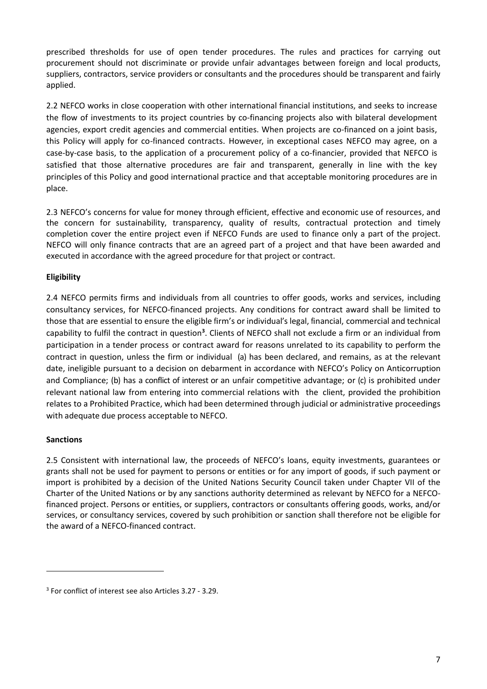prescribed thresholds for use of open tender procedures. The rules and practices for carrying out procurement should not discriminate or provide unfair advantages between foreign and local products, suppliers, contractors, service providers or consultants and the procedures should be transparent and fairly applied.

2.2 NEFCO works in close cooperation with other international financial institutions, and seeks to increase the flow of investments to its project countries by co-financing projects also with bilateral development agencies, export credit agencies and commercial entities. When projects are co-financed on a joint basis, this Policy will apply for co-financed contracts. However, in exceptional cases NEFCO may agree, on a case-by-case basis, to the application of a procurement policy of a co-financier, provided that NEFCO is satisfied that those alternative procedures are fair and transparent, generally in line with the key principles of this Policy and good international practice and that acceptable monitoring procedures are in place.

2.3 NEFCO's concerns for value for money through efficient, effective and economic use of resources, and the concern for sustainability, transparency, quality of results, contractual protection and timely completion cover the entire project even if NEFCO Funds are used to finance only a part of the project. NEFCO will only finance contracts that are an agreed part of a project and that have been awarded and executed in accordance with the agreed procedure for that project or contract.

# <span id="page-6-0"></span>**Eligibility**

2.4 NEFCO permits firms and individuals from all countries to offer goods, works and services, including consultancy services, for NEFCO-financed projects. Any conditions for contract award shall be limited to those that are essential to ensure the eligible firm's or individual's legal, financial, commercial and technical capability to fulfil the contract in question<sup>[3](#page-6-2)</sup>. Clients of NEFCO shall not exclude a firm or an individual from participation in a tender process or contract award for reasons unrelated to its capability to perform the contract in question, unless the firm or individual (a) has been declared, and remains, as at the relevant date, ineligible pursuant to a decision on debarment in accordance with NEFCO's Policy on Anticorruption and Compliance; (b) has a conflict of interest or an unfair competitive advantage; or (c) is prohibited under relevant national law from entering into commercial relations with the client, provided the prohibition relates to a Prohibited Practice, which had been determined through judicial or administrative proceedings with adequate due process acceptable to NEFCO.

## <span id="page-6-1"></span>**Sanctions**

1

2.5 Consistent with international law, the proceeds of NEFCO's loans, equity investments, guarantees or grants shall not be used for payment to persons or entities or for any import of goods, if such payment or import is prohibited by a decision of the United Nations Security Council taken under Chapter VII of the Charter of the United Nations or by any sanctions authority determined as relevant by NEFCO for a NEFCOfinanced project. Persons or entities, or suppliers, contractors or consultants offering goods, works, and/or services, or consultancy services, covered by such prohibition or sanction shall therefore not be eligible for the award of a NEFCO-financed contract.

<span id="page-6-2"></span><sup>3</sup> For conflict of interest see also Articles 3.27 - 3.29.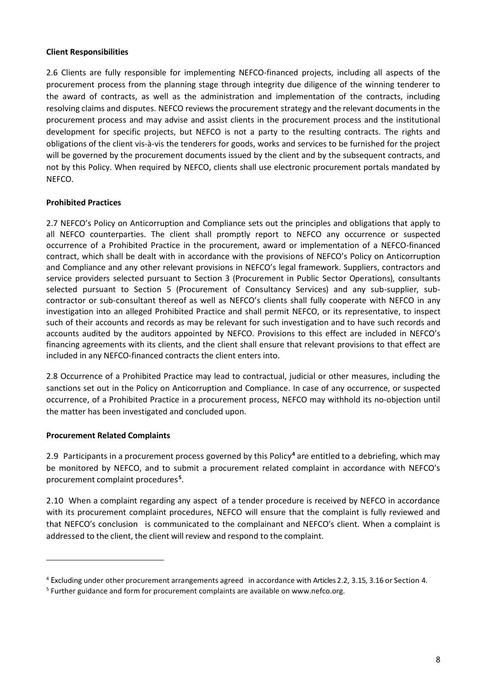## <span id="page-7-0"></span>**Client Responsibilities**

2.6 Clients are fully responsible for implementing NEFCO-financed projects, including all aspects of the procurement process from the planning stage through integrity due diligence of the winning tenderer to the award of contracts, as well as the administration and implementation of the contracts, including resolving claims and disputes. NEFCO reviews the procurement strategy and the relevant documentsin the procurement process and may advise and assist clients in the procurement process and the institutional development for specific projects, but NEFCO is not a party to the resulting contracts. The rights and obligations of the client vis-à-vis the tenderers for goods, works and services to be furnished for the project will be governed by the procurement documents issued by the client and by the subsequent contracts, and not by this Policy. When required by NEFCO, clients shall use electronic procurement portals mandated by NEFCO.

## <span id="page-7-1"></span>**Prohibited Practices**

2.7 NEFCO's Policy on Anticorruption and Compliance sets out the principles and obligations that apply to all NEFCO counterparties. The client shall promptly report to NEFCO any occurrence or suspected occurrence of a Prohibited Practice in the procurement, award or implementation of a NEFCO-financed contract, which shall be dealt with in accordance with the provisions of NEFCO's Policy on Anticorruption and Compliance and any other relevant provisions in NEFCO's legal framework. Suppliers, contractors and service providers selected pursuant to Section 3 (Procurement in Public Sector Operations), consultants selected pursuant to Section 5 (Procurement of Consultancy Services) and any sub-supplier, subcontractor or sub-consultant thereof as well as NEFCO's clients shall fully cooperate with NEFCO in any investigation into an alleged Prohibited Practice and shall permit NEFCO, or its representative, to inspect such of their accounts and records as may be relevant for such investigation and to have such records and accounts audited by the auditors appointed by NEFCO. Provisions to this effect are included in NEFCO's financing agreements with its clients, and the client shall ensure that relevant provisions to that effect are included in any NEFCO-financed contracts the client enters into.

2.8 Occurrence of a Prohibited Practice may lead to contractual, judicial or other measures, including the sanctions set out in the Policy on Anticorruption and Compliance. In case of any occurrence, or suspected occurrence, of a Prohibited Practice in a procurement process, NEFCO may withhold its no-objection until the matter has been investigated and concluded upon.

#### <span id="page-7-2"></span>**Procurement Related Complaints**

1

2.9 Participants in a procurement process governed by this Policy**[4](#page-7-3)** are entitled to a debriefing, which may be monitored by NEFCO, and to submit a procurement related complaint in accordance with NEFCO's procurement complaint procedures**[5](#page-7-4)** .

2.10 When a complaint regarding any aspect of a tender procedure is received by NEFCO in accordance with its procurement complaint procedures, NEFCO will ensure that the complaint is fully reviewed and that NEFCO's conclusion is communicated to the complainant and NEFCO's client. When a complaint is addressed to the client, the client will review and respond to the complaint.

<span id="page-7-3"></span><sup>4</sup> Excluding under other procurement arrangements agreed in accordance with Articles 2.2, 3.15, 3.16 or Section 4.

<span id="page-7-4"></span><sup>5</sup> Further guidance and form for procurement complaints are available on www.nefco.org.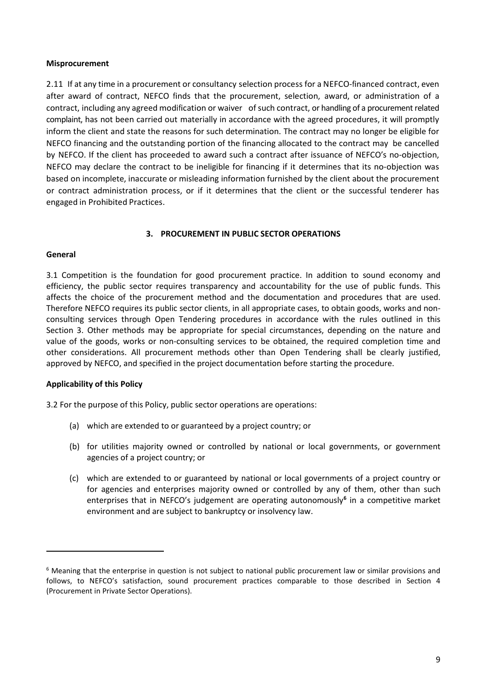#### <span id="page-8-0"></span>**Misprocurement**

2.11 If at any time in a procurement or consultancy selection process for a NEFCO-financed contract, even after award of contract, NEFCO finds that the procurement, selection, award, or administration of a contract, including any agreed modification or waiver of such contract, or handling of a procurement related complaint, has not been carried out materially in accordance with the agreed procedures, it will promptly inform the client and state the reasons for such determination. The contract may no longer be eligible for NEFCO financing and the outstanding portion of the financing allocated to the contract may be cancelled by NEFCO. If the client has proceeded to award such a contract after issuance of NEFCO's no-objection, NEFCO may declare the contract to be ineligible for financing if it determines that its no-objection was based on incomplete, inaccurate or misleading information furnished by the client about the procurement or contract administration process, or if it determines that the client or the successful tenderer has engaged in Prohibited Practices.

### **3. PROCUREMENT IN PUBLIC SECTOR OPERATIONS**

#### <span id="page-8-2"></span><span id="page-8-1"></span>**General**

-

3.1 Competition is the foundation for good procurement practice. In addition to sound economy and efficiency, the public sector requires transparency and accountability for the use of public funds. This affects the choice of the procurement method and the documentation and procedures that are used. Therefore NEFCO requires its public sector clients, in all appropriate cases, to obtain goods, works and nonconsulting services through Open Tendering procedures in accordance with the rules outlined in this Section 3. Other methods may be appropriate for special circumstances, depending on the nature and value of the goods, works or non-consulting services to be obtained, the required completion time and other considerations. All procurement methods other than Open Tendering shall be clearly justified, approved by NEFCO, and specified in the project documentation before starting the procedure.

## <span id="page-8-3"></span>**Applicability of this Policy**

3.2 For the purpose of this Policy, public sector operations are operations:

- (a) which are extended to or guaranteed by a project country; or
- (b) for utilities majority owned or controlled by national or local governments, or government agencies of a project country; or
- (c) which are extended to or guaranteed by national or local governments of a project country or for agencies and enterprises majority owned or controlled by any of them, other than such enterprises that in NEFCO's judgement are operating autonomously**[6](#page-8-4)** in a competitive market environment and are subject to bankruptcy or insolvency law.

<span id="page-8-4"></span><sup>&</sup>lt;sup>6</sup> Meaning that the enterprise in question is not subject to national public procurement law or similar provisions and follows, to NEFCO's satisfaction, sound procurement practices comparable to those described in Section 4 (Procurement in Private Sector Operations).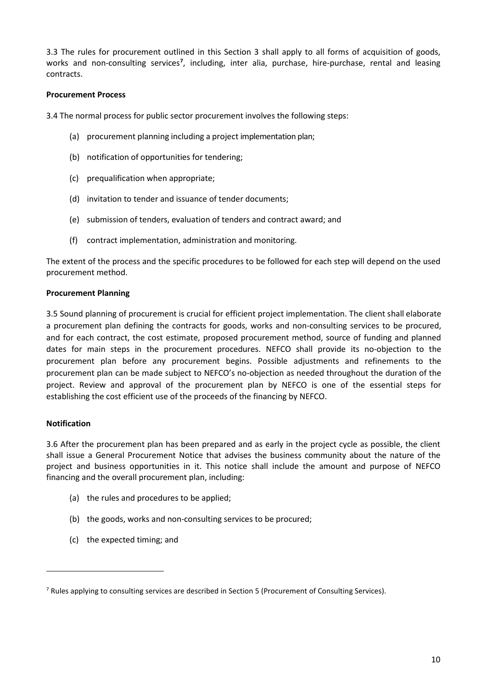3.3 The rules for procurement outlined in this Section 3 shall apply to all forms of acquisition of goods, works and non-consulting services<sup>[7](#page-9-3)</sup>, including, inter alia, purchase, hire-purchase, rental and leasing contracts.

## <span id="page-9-0"></span>**Procurement Process**

3.4 The normal process for public sector procurement involves the following steps:

- (a) procurement planning including a project implementation plan;
- (b) notification of opportunities for tendering;
- (c) prequalification when appropriate;
- (d) invitation to tender and issuance of tender documents;
- (e) submission of tenders, evaluation of tenders and contract award; and
- (f) contract implementation, administration and monitoring.

The extent of the process and the specific procedures to be followed for each step will depend on the used procurement method.

#### <span id="page-9-1"></span>**Procurement Planning**

3.5 Sound planning of procurement is crucial for efficient project implementation. The client shall elaborate a procurement plan defining the contracts for goods, works and non-consulting services to be procured, and for each contract, the cost estimate, proposed procurement method, source of funding and planned dates for main steps in the procurement procedures. NEFCO shall provide its no-objection to the procurement plan before any procurement begins. Possible adjustments and refinements to the procurement plan can be made subject to NEFCO's no-objection as needed throughout the duration of the project. Review and approval of the procurement plan by NEFCO is one of the essential steps for establishing the cost efficient use of the proceeds of the financing by NEFCO.

#### <span id="page-9-2"></span>**Notification**

1

3.6 After the procurement plan has been prepared and as early in the project cycle as possible, the client shall issue a General Procurement Notice that advises the business community about the nature of the project and business opportunities in it. This notice shall include the amount and purpose of NEFCO financing and the overall procurement plan, including:

- (a) the rules and procedures to be applied;
- (b) the goods, works and non-consulting services to be procured;
- (c) the expected timing; and

<span id="page-9-3"></span><sup>&</sup>lt;sup>7</sup> Rules applying to consulting services are described in Section 5 (Procurement of Consulting Services).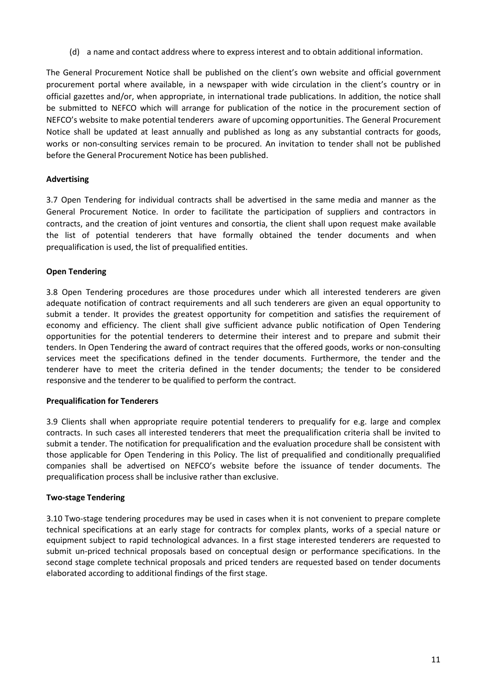(d) a name and contact address where to express interest and to obtain additional information.

The General Procurement Notice shall be published on the client's own website and official government procurement portal where available, in a newspaper with wide circulation in the client's country or in official gazettes and/or, when appropriate, in international trade publications. In addition, the notice shall be submitted to NEFCO which will arrange for publication of the notice in the procurement section of NEFCO's website to make potential tenderers aware of upcoming opportunities. The General Procurement Notice shall be updated at least annually and published as long as any substantial contracts for goods, works or non-consulting services remain to be procured. An invitation to tender shall not be published before the General Procurement Notice has been published.

# <span id="page-10-0"></span>**Advertising**

3.7 Open Tendering for individual contracts shall be advertised in the same media and manner as the General Procurement Notice. In order to facilitate the participation of suppliers and contractors in contracts, and the creation of joint ventures and consortia, the client shall upon request make available the list of potential tenderers that have formally obtained the tender documents and when prequalification is used, the list of prequalified entities.

# <span id="page-10-1"></span>**Open Tendering**

3.8 Open Tendering procedures are those procedures under which all interested tenderers are given adequate notification of contract requirements and all such tenderers are given an equal opportunity to submit a tender. It provides the greatest opportunity for competition and satisfies the requirement of economy and efficiency. The client shall give sufficient advance public notification of Open Tendering opportunities for the potential tenderers to determine their interest and to prepare and submit their tenders. In Open Tendering the award of contract requires that the offered goods, works or non-consulting services meet the specifications defined in the tender documents. Furthermore, the tender and the tenderer have to meet the criteria defined in the tender documents; the tender to be considered responsive and the tenderer to be qualified to perform the contract.

## <span id="page-10-2"></span>**Prequalification for Tenderers**

3.9 Clients shall when appropriate require potential tenderers to prequalify for e.g. large and complex contracts. In such cases all interested tenderers that meet the prequalification criteria shall be invited to submit a tender. The notification for prequalification and the evaluation procedure shall be consistent with those applicable for Open Tendering in this Policy. The list of prequalified and conditionally prequalified companies shall be advertised on NEFCO's website before the issuance of tender documents. The prequalification process shall be inclusive rather than exclusive.

## <span id="page-10-3"></span>**Two-stage Tendering**

3.10 Two-stage tendering procedures may be used in cases when it is not convenient to prepare complete technical specifications at an early stage for contracts for complex plants, works of a special nature or equipment subject to rapid technological advances. In a first stage interested tenderers are requested to submit un-priced technical proposals based on conceptual design or performance specifications. In the second stage complete technical proposals and priced tenders are requested based on tender documents elaborated according to additional findings of the first stage.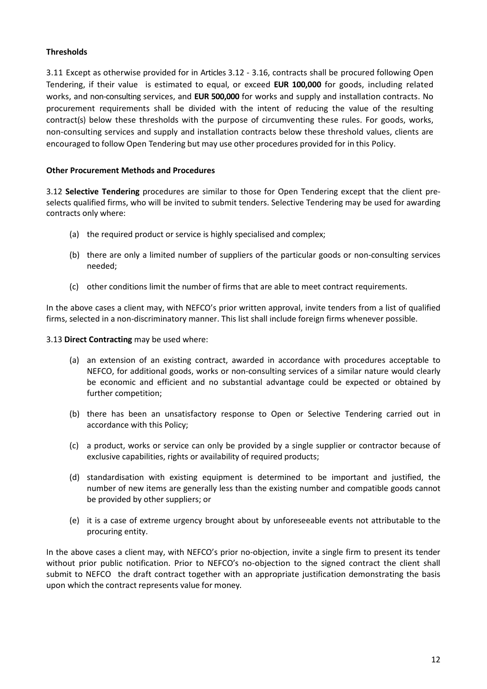## <span id="page-11-0"></span>**Thresholds**

3.11 Except as otherwise provided for in Articles 3.12 - 3.16, contracts shall be procured following Open Tendering, if their value is estimated to equal, or exceed **EUR 100,000** for goods, including related works, and non-consulting services, and **EUR 500,000** for works and supply and installation contracts. No procurement requirements shall be divided with the intent of reducing the value of the resulting contract(s) below these thresholds with the purpose of circumventing these rules. For goods, works, non-consulting services and supply and installation contracts below these threshold values, clients are encouraged to follow Open Tendering but may use other procedures provided for in this Policy.

## <span id="page-11-1"></span>**Other Procurement Methods and Procedures**

3.12 **Selective Tendering** procedures are similar to those for Open Tendering except that the client preselects qualified firms, who will be invited to submit tenders. Selective Tendering may be used for awarding contracts only where:

- (a) the required product or service is highly specialised and complex;
- (b) there are only a limited number of suppliers of the particular goods or non-consulting services needed;
- (c) other conditions limit the number of firms that are able to meet contract requirements.

In the above cases a client may, with NEFCO's prior written approval, invite tenders from a list of qualified firms, selected in a non-discriminatory manner. This list shall include foreign firms whenever possible.

## 3.13 **Direct Contracting** may be used where:

- (a) an extension of an existing contract, awarded in accordance with procedures acceptable to NEFCO, for additional goods, works or non-consulting services of a similar nature would clearly be economic and efficient and no substantial advantage could be expected or obtained by further competition;
- (b) there has been an unsatisfactory response to Open or Selective Tendering carried out in accordance with this Policy;
- (c) a product, works or service can only be provided by a single supplier or contractor because of exclusive capabilities, rights or availability of required products;
- (d) standardisation with existing equipment is determined to be important and justified, the number of new items are generally less than the existing number and compatible goods cannot be provided by other suppliers; or
- (e) it is a case of extreme urgency brought about by unforeseeable events not attributable to the procuring entity.

In the above cases a client may, with NEFCO's prior no-objection, invite a single firm to present its tender without prior public notification. Prior to NEFCO's no-objection to the signed contract the client shall submit to NEFCO the draft contract together with an appropriate justification demonstrating the basis upon which the contract represents value for money.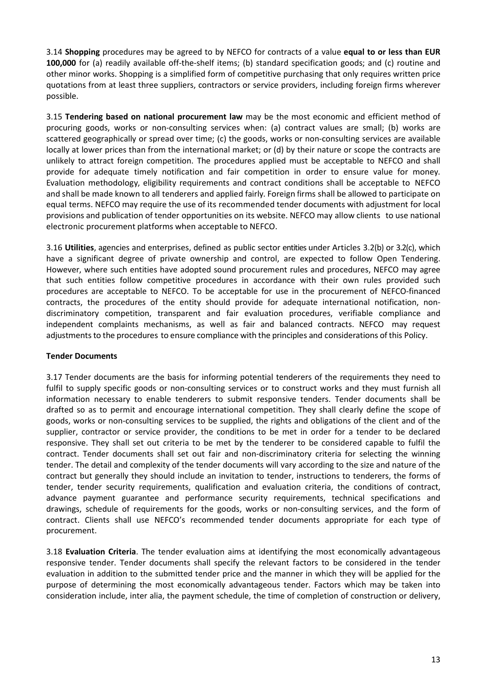3.14 **Shopping** procedures may be agreed to by NEFCO for contracts of a value **equal to or less than EUR 100,000** for (a) readily available off-the-shelf items; (b) standard specification goods; and (c) routine and other minor works. Shopping is a simplified form of competitive purchasing that only requires written price quotations from at least three suppliers, contractors or service providers, including foreign firms wherever possible.

3.15 **Tendering based on national procurement law** may be the most economic and efficient method of procuring goods, works or non-consulting services when: (a) contract values are small; (b) works are scattered geographically or spread over time; (c) the goods, works or non-consulting services are available locally at lower prices than from the international market; or (d) by their nature or scope the contracts are unlikely to attract foreign competition. The procedures applied must be acceptable to NEFCO and shall provide for adequate timely notification and fair competition in order to ensure value for money. Evaluation methodology, eligibility requirements and contract conditions shall be acceptable to NEFCO and shall be made known to all tenderers and applied fairly. Foreign firms shall be allowed to participate on equal terms. NEFCO may require the use of its recommended tender documents with adjustment for local provisions and publication of tender opportunities on its website. NEFCO may allow clients to use national electronic procurement platforms when acceptable to NEFCO.

3.16 **Utilities**, agencies and enterprises, defined as public sector entities under Articles 3.2(b) or 3.2(c), which have a significant degree of private ownership and control, are expected to follow Open Tendering. However, where such entities have adopted sound procurement rules and procedures, NEFCO may agree that such entities follow competitive procedures in accordance with their own rules provided such procedures are acceptable to NEFCO. To be acceptable for use in the procurement of NEFCO-financed contracts, the procedures of the entity should provide for adequate international notification, nondiscriminatory competition, transparent and fair evaluation procedures, verifiable compliance and independent complaints mechanisms, as well as fair and balanced contracts. NEFCO may request adjustments to the procedures to ensure compliance with the principles and considerations of this Policy.

## <span id="page-12-0"></span>**Tender Documents**

3.17 Tender documents are the basis for informing potential tenderers of the requirements they need to fulfil to supply specific goods or non-consulting services or to construct works and they must furnish all information necessary to enable tenderers to submit responsive tenders. Tender documents shall be drafted so as to permit and encourage international competition. They shall clearly define the scope of goods, works or non-consulting services to be supplied, the rights and obligations of the client and of the supplier, contractor or service provider, the conditions to be met in order for a tender to be declared responsive. They shall set out criteria to be met by the tenderer to be considered capable to fulfil the contract. Tender documents shall set out fair and non-discriminatory criteria for selecting the winning tender. The detail and complexity of the tender documents will vary according to the size and nature of the contract but generally they should include an invitation to tender, instructions to tenderers, the forms of tender, tender security requirements, qualification and evaluation criteria, the conditions of contract, advance payment guarantee and performance security requirements, technical specifications and drawings, schedule of requirements for the goods, works or non-consulting services, and the form of contract. Clients shall use NEFCO's recommended tender documents appropriate for each type of procurement.

3.18 **Evaluation Criteria**. The tender evaluation aims at identifying the most economically advantageous responsive tender. Tender documents shall specify the relevant factors to be considered in the tender evaluation in addition to the submitted tender price and the manner in which they will be applied for the purpose of determining the most economically advantageous tender. Factors which may be taken into consideration include, inter alia, the payment schedule, the time of completion of construction or delivery,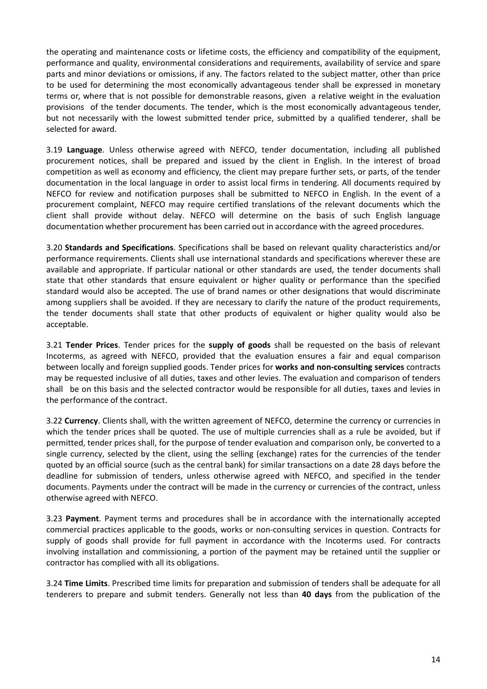the operating and maintenance costs or lifetime costs, the efficiency and compatibility of the equipment, performance and quality, environmental considerations and requirements, availability of service and spare parts and minor deviations or omissions, if any. The factors related to the subject matter, other than price to be used for determining the most economically advantageous tender shall be expressed in monetary terms or, where that is not possible for demonstrable reasons, given a relative weight in the evaluation provisions of the tender documents. The tender, which is the most economically advantageous tender, but not necessarily with the lowest submitted tender price, submitted by a qualified tenderer, shall be selected for award.

3.19 **Language**. Unless otherwise agreed with NEFCO, tender documentation, including all published procurement notices, shall be prepared and issued by the client in English. In the interest of broad competition as well as economy and efficiency, the client may prepare further sets, or parts, of the tender documentation in the local language in order to assist local firms in tendering. All documents required by NEFCO for review and notification purposes shall be submitted to NEFCO in English. In the event of a procurement complaint, NEFCO may require certified translations of the relevant documents which the client shall provide without delay. NEFCO will determine on the basis of such English language documentation whether procurement has been carried out in accordance with the agreed procedures.

3.20 **Standards and Specifications**. Specifications shall be based on relevant quality characteristics and/or performance requirements. Clients shall use international standards and specifications wherever these are available and appropriate. If particular national or other standards are used, the tender documents shall state that other standards that ensure equivalent or higher quality or performance than the specified standard would also be accepted. The use of brand names or other designations that would discriminate among suppliers shall be avoided. If they are necessary to clarify the nature of the product requirements, the tender documents shall state that other products of equivalent or higher quality would also be acceptable.

3.21 **Tender Prices**. Tender prices for the **supply of goods** shall be requested on the basis of relevant Incoterms, as agreed with NEFCO, provided that the evaluation ensures a fair and equal comparison between locally and foreign supplied goods. Tender prices for **works and non-consulting services** contracts may be requested inclusive of all duties, taxes and other levies. The evaluation and comparison of tenders shall be on this basis and the selected contractor would be responsible for all duties, taxes and levies in the performance of the contract.

3.22 **Currency**. Clients shall, with the written agreement of NEFCO, determine the currency or currencies in which the tender prices shall be quoted. The use of multiple currencies shall as a rule be avoided, but if permitted, tender prices shall, for the purpose of tender evaluation and comparison only, be converted to a single currency, selected by the client, using the selling (exchange) rates for the currencies of the tender quoted by an official source (such as the central bank) for similar transactions on a date 28 days before the deadline for submission of tenders, unless otherwise agreed with NEFCO, and specified in the tender documents. Payments under the contract will be made in the currency or currencies of the contract, unless otherwise agreed with NEFCO.

3.23 **Payment**. Payment terms and procedures shall be in accordance with the internationally accepted commercial practices applicable to the goods, works or non-consulting services in question. Contracts for supply of goods shall provide for full payment in accordance with the Incoterms used. For contracts involving installation and commissioning, a portion of the payment may be retained until the supplier or contractor has complied with all its obligations.

3.24 **Time Limits**. Prescribed time limits for preparation and submission of tenders shall be adequate for all tenderers to prepare and submit tenders. Generally not less than **40 days** from the publication of the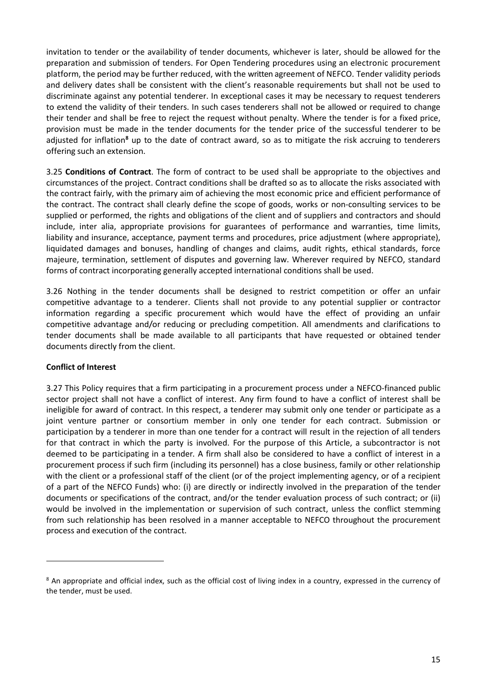invitation to tender or the availability of tender documents, whichever is later, should be allowed for the preparation and submission of tenders. For Open Tendering procedures using an electronic procurement platform, the period may be further reduced, with the written agreement of NEFCO. Tender validity periods and delivery dates shall be consistent with the client's reasonable requirements but shall not be used to discriminate against any potential tenderer. In exceptional cases it may be necessary to request tenderers to extend the validity of their tenders. In such cases tenderers shall not be allowed or required to change their tender and shall be free to reject the request without penalty. Where the tender is for a fixed price, provision must be made in the tender documents for the tender price of the successful tenderer to be adjusted for inflation**[8](#page-14-1)** up to the date of contract award, so as to mitigate the risk accruing to tenderers offering such an extension.

3.25 **Conditions of Contract**. The form of contract to be used shall be appropriate to the objectives and circumstances of the project. Contract conditions shall be drafted so as to allocate the risks associated with the contract fairly, with the primary aim of achieving the most economic price and efficient performance of the contract. The contract shall clearly define the scope of goods, works or non-consulting services to be supplied or performed, the rights and obligations of the client and of suppliers and contractors and should include, inter alia, appropriate provisions for guarantees of performance and warranties, time limits, liability and insurance, acceptance, payment terms and procedures, price adjustment (where appropriate), liquidated damages and bonuses, handling of changes and claims, audit rights, ethical standards, force majeure, termination, settlement of disputes and governing law. Wherever required by NEFCO, standard forms of contract incorporating generally accepted international conditions shall be used.

3.26 Nothing in the tender documents shall be designed to restrict competition or offer an unfair competitive advantage to a tenderer. Clients shall not provide to any potential supplier or contractor information regarding a specific procurement which would have the effect of providing an unfair competitive advantage and/or reducing or precluding competition. All amendments and clarifications to tender documents shall be made available to all participants that have requested or obtained tender documents directly from the client.

## <span id="page-14-0"></span>**Conflict of Interest**

1

3.27 This Policy requires that a firm participating in a procurement process under a NEFCO-financed public sector project shall not have a conflict of interest. Any firm found to have a conflict of interest shall be ineligible for award of contract. In this respect, a tenderer may submit only one tender or participate as a joint venture partner or consortium member in only one tender for each contract. Submission or participation by a tenderer in more than one tender for a contract will result in the rejection of all tenders for that contract in which the party is involved. For the purpose of this Article, a subcontractor is not deemed to be participating in a tender. A firm shall also be considered to have a conflict of interest in a procurement process if such firm (including its personnel) has a close business, family or other relationship with the client or a professional staff of the client (or of the project implementing agency, or of a recipient of a part of the NEFCO Funds) who: (i) are directly or indirectly involved in the preparation of the tender documents or specifications of the contract, and/or the tender evaluation process of such contract; or (ii) would be involved in the implementation or supervision of such contract, unless the conflict stemming from such relationship has been resolved in a manner acceptable to NEFCO throughout the procurement process and execution of the contract.

<span id="page-14-1"></span><sup>&</sup>lt;sup>8</sup> An appropriate and official index, such as the official cost of living index in a country, expressed in the currency of the tender, must be used.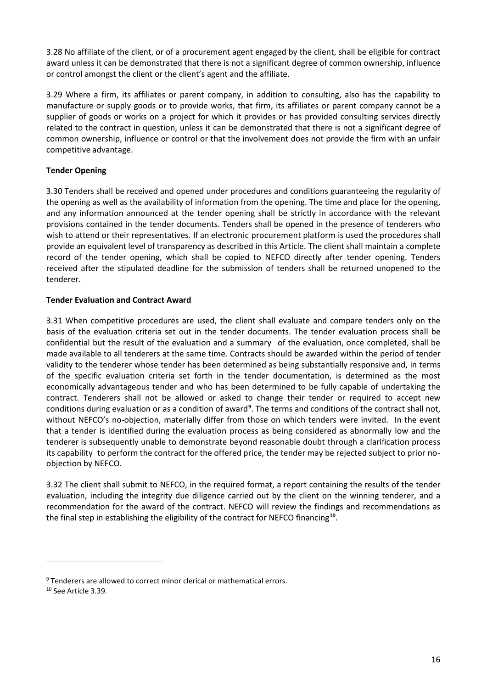3.28 No affiliate of the client, or of a procurement agent engaged by the client, shall be eligible for contract award unless it can be demonstrated that there is not a significant degree of common ownership, influence or control amongst the client or the client's agent and the affiliate.

3.29 Where a firm, its affiliates or parent company, in addition to consulting, also has the capability to manufacture or supply goods or to provide works, that firm, its affiliates or parent company cannot be a supplier of goods or works on a project for which it provides or has provided consulting services directly related to the contract in question, unless it can be demonstrated that there is not a significant degree of common ownership, influence or control or that the involvement does not provide the firm with an unfair competitive advantage.

# <span id="page-15-0"></span>**Tender Opening**

3.30 Tenders shall be received and opened under procedures and conditions guaranteeing the regularity of the opening as well as the availability of information from the opening. The time and place for the opening, and any information announced at the tender opening shall be strictly in accordance with the relevant provisions contained in the tender documents. Tenders shall be opened in the presence of tenderers who wish to attend or their representatives. If an electronic procurement platform is used the procedures shall provide an equivalent level of transparency as described in this Article. The client shall maintain a complete record of the tender opening, which shall be copied to NEFCO directly after tender opening. Tenders received after the stipulated deadline for the submission of tenders shall be returned unopened to the tenderer.

# <span id="page-15-1"></span>**Tender Evaluation and Contract Award**

3.31 When competitive procedures are used, the client shall evaluate and compare tenders only on the basis of the evaluation criteria set out in the tender documents. The tender evaluation process shall be confidential but the result of the evaluation and a summary of the evaluation, once completed, shall be made available to all tenderers at the same time. Contracts should be awarded within the period of tender validity to the tenderer whose tender has been determined as being substantially responsive and, in terms of the specific evaluation criteria set forth in the tender documentation, is determined as the most economically advantageous tender and who has been determined to be fully capable of undertaking the contract. Tenderers shall not be allowed or asked to change their tender or required to accept new conditions during evaluation or as a condition of award<sup>[9](#page-15-2)</sup>. The terms and conditions of the contract shall not, without NEFCO's no-objection, materially differ from those on which tenders were invited. In the event that a tender is identified during the evaluation process as being considered as abnormally low and the tenderer is subsequently unable to demonstrate beyond reasonable doubt through a clarification process its capability to perform the contract for the offered price, the tender may be rejected subject to prior noobjection by NEFCO.

3.32 The client shall submit to NEFCO, in the required format, a report containing the results of the tender evaluation, including the integrity due diligence carried out by the client on the winning tenderer, and a recommendation for the award of the contract. NEFCO will review the findings and recommendations as the final step in establishing the eligibility of the contract for NEFCO financing**[10](#page-15-3)**.

<span id="page-15-2"></span> $9$  Tenderers are allowed to correct minor clerical or mathematical errors.

<span id="page-15-3"></span><sup>&</sup>lt;sup>10</sup> See Article 3.39.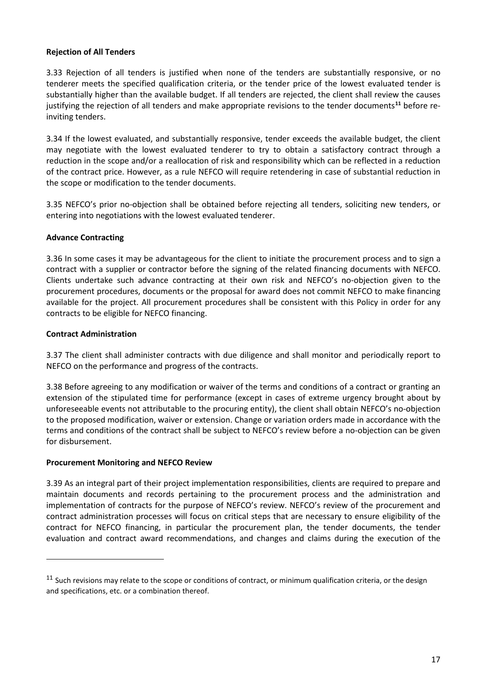## <span id="page-16-0"></span>**Rejection of All Tenders**

3.33 Rejection of all tenders is justified when none of the tenders are substantially responsive, or no tenderer meets the specified qualification criteria, or the tender price of the lowest evaluated tender is substantially higher than the available budget. If all tenders are rejected, the client shall review the causes justifying the rejection of all tenders and make appropriate revisions to the tender documents**[11](#page-16-4)** before reinviting tenders.

3.34 If the lowest evaluated, and substantially responsive, tender exceeds the available budget, the client may negotiate with the lowest evaluated tenderer to try to obtain a satisfactory contract through a reduction in the scope and/or a reallocation of risk and responsibility which can be reflected in a reduction of the contract price. However, as a rule NEFCO will require retendering in case of substantial reduction in the scope or modification to the tender documents.

3.35 NEFCO's prior no-objection shall be obtained before rejecting all tenders, soliciting new tenders, or entering into negotiations with the lowest evaluated tenderer.

### <span id="page-16-1"></span>**Advance Contracting**

3.36 In some cases it may be advantageous for the client to initiate the procurement process and to sign a contract with a supplier or contractor before the signing of the related financing documents with NEFCO. Clients undertake such advance contracting at their own risk and NEFCO's no-objection given to the procurement procedures, documents or the proposal for award does not commit NEFCO to make financing available for the project. All procurement procedures shall be consistent with this Policy in order for any contracts to be eligible for NEFCO financing.

### <span id="page-16-2"></span>**Contract Administration**

-

3.37 The client shall administer contracts with due diligence and shall monitor and periodically report to NEFCO on the performance and progress of the contracts.

3.38 Before agreeing to any modification or waiver of the terms and conditions of a contract or granting an extension of the stipulated time for performance (except in cases of extreme urgency brought about by unforeseeable events not attributable to the procuring entity), the client shall obtain NEFCO's no-objection to the proposed modification, waiver or extension. Change or variation orders made in accordance with the terms and conditions of the contract shall be subject to NEFCO's review before a no-objection can be given for disbursement.

#### <span id="page-16-3"></span>**Procurement Monitoring and NEFCO Review**

3.39 As an integral part of their project implementation responsibilities, clients are required to prepare and maintain documents and records pertaining to the procurement process and the administration and implementation of contracts for the purpose of NEFCO's review. NEFCO's review of the procurement and contract administration processes will focus on critical steps that are necessary to ensure eligibility of the contract for NEFCO financing, in particular the procurement plan, the tender documents, the tender evaluation and contract award recommendations, and changes and claims during the execution of the

<span id="page-16-4"></span> $11$  Such revisions may relate to the scope or conditions of contract, or minimum qualification criteria, or the design and specifications, etc. or a combination thereof.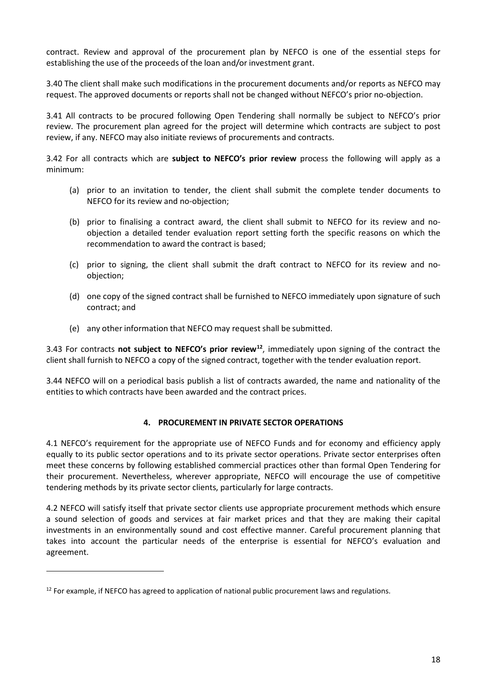contract. Review and approval of the procurement plan by NEFCO is one of the essential steps for establishing the use of the proceeds of the loan and/or investment grant.

3.40 The client shall make such modifications in the procurement documents and/or reports as NEFCO may request. The approved documents or reports shall not be changed without NEFCO's prior no-objection.

3.41 All contracts to be procured following Open Tendering shall normally be subject to NEFCO's prior review. The procurement plan agreed for the project will determine which contracts are subject to post review, if any. NEFCO may also initiate reviews of procurements and contracts.

3.42 For all contracts which are **subject to NEFCO's prior review** process the following will apply as a minimum:

- (a) prior to an invitation to tender, the client shall submit the complete tender documents to NEFCO for its review and no-objection;
- (b) prior to finalising a contract award, the client shall submit to NEFCO for its review and noobjection a detailed tender evaluation report setting forth the specific reasons on which the recommendation to award the contract is based;
- (c) prior to signing, the client shall submit the draft contract to NEFCO for its review and noobjection;
- (d) one copy of the signed contract shall be furnished to NEFCO immediately upon signature of such contract; and
- (e) any other information that NEFCO may request shall be submitted.

3.43 For contracts **not subject to NEFCO's prior review[12](#page-17-1)**, immediately upon signing of the contract the client shall furnish to NEFCO a copy of the signed contract, together with the tender evaluation report.

<span id="page-17-0"></span>3.44 NEFCO will on a periodical basis publish a list of contracts awarded, the name and nationality of the entities to which contracts have been awarded and the contract prices.

## **4. PROCUREMENT IN PRIVATE SECTOR OPERATIONS**

4.1 NEFCO's requirement for the appropriate use of NEFCO Funds and for economy and efficiency apply equally to its public sector operations and to its private sector operations. Private sector enterprises often meet these concerns by following established commercial practices other than formal Open Tendering for their procurement. Nevertheless, wherever appropriate, NEFCO will encourage the use of competitive tendering methods by its private sector clients, particularly for large contracts.

4.2 NEFCO will satisfy itself that private sector clients use appropriate procurement methods which ensure a sound selection of goods and services at fair market prices and that they are making their capital investments in an environmentally sound and cost effective manner. Careful procurement planning that takes into account the particular needs of the enterprise is essential for NEFCO's evaluation and agreement.

<span id="page-17-1"></span> $12$  For example, if NEFCO has agreed to application of national public procurement laws and regulations.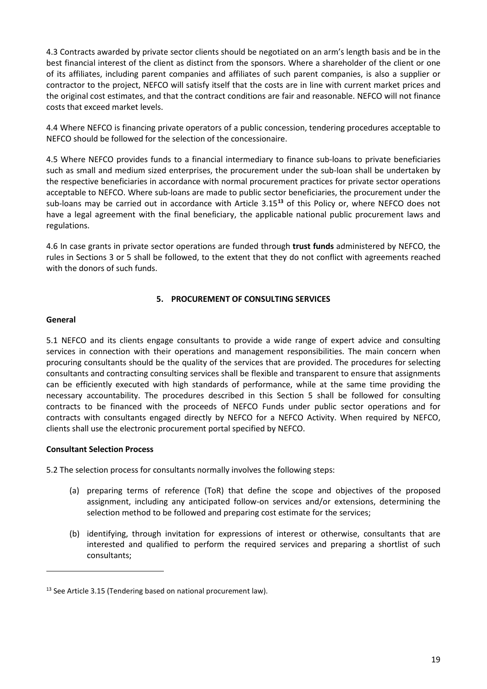4.3 Contracts awarded by private sector clients should be negotiated on an arm's length basis and be in the best financial interest of the client as distinct from the sponsors. Where a shareholder of the client or one of its affiliates, including parent companies and affiliates of such parent companies, is also a supplier or contractor to the project, NEFCO will satisfy itself that the costs are in line with current market prices and the original cost estimates, and that the contract conditions are fair and reasonable. NEFCO will not finance costs that exceed market levels.

4.4 Where NEFCO is financing private operators of a public concession, tendering procedures acceptable to NEFCO should be followed for the selection of the concessionaire.

4.5 Where NEFCO provides funds to a financial intermediary to finance sub-loans to private beneficiaries such as small and medium sized enterprises, the procurement under the sub-loan shall be undertaken by the respective beneficiaries in accordance with normal procurement practices for private sector operations acceptable to NEFCO. Where sub-loans are made to public sector beneficiaries, the procurement under the sub-loans may be carried out in accordance with Article 3.15**[13](#page-18-3)** of this Policy or, where NEFCO does not have a legal agreement with the final beneficiary, the applicable national public procurement laws and regulations.

4.6 In case grants in private sector operations are funded through **trust funds** administered by NEFCO, the rules in Sections 3 or 5 shall be followed, to the extent that they do not conflict with agreements reached with the donors of such funds.

## **5. PROCUREMENT OF CONSULTING SERVICES**

#### <span id="page-18-1"></span><span id="page-18-0"></span>**General**

1

5.1 NEFCO and its clients engage consultants to provide a wide range of expert advice and consulting services in connection with their operations and management responsibilities. The main concern when procuring consultants should be the quality of the services that are provided. The procedures for selecting consultants and contracting consulting services shall be flexible and transparent to ensure that assignments can be efficiently executed with high standards of performance, while at the same time providing the necessary accountability. The procedures described in this Section 5 shall be followed for consulting contracts to be financed with the proceeds of NEFCO Funds under public sector operations and for contracts with consultants engaged directly by NEFCO for a NEFCO Activity. When required by NEFCO, clients shall use the electronic procurement portal specified by NEFCO.

## <span id="page-18-2"></span>**Consultant Selection Process**

5.2 The selection process for consultants normally involves the following steps:

- (a) preparing terms of reference (ToR) that define the scope and objectives of the proposed assignment, including any anticipated follow-on services and/or extensions, determining the selection method to be followed and preparing cost estimate for the services;
- (b) identifying, through invitation for expressions of interest or otherwise, consultants that are interested and qualified to perform the required services and preparing a shortlist of such consultants;

<span id="page-18-3"></span><sup>&</sup>lt;sup>13</sup> See Article 3.15 (Tendering based on national procurement law).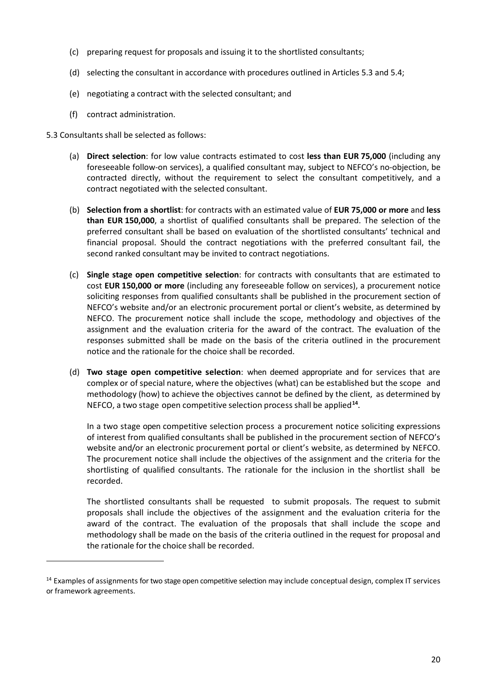- (c) preparing request for proposals and issuing it to the shortlisted consultants;
- (d) selecting the consultant in accordance with procedures outlined in Articles 5.3 and 5.4;
- (e) negotiating a contract with the selected consultant; and
- (f) contract administration.

5.3 Consultants shall be selected as follows:

1

- (a) **Direct selection**: for low value contracts estimated to cost **less than EUR 75,000** (including any foreseeable follow-on services), a qualified consultant may, subject to NEFCO's no-objection, be contracted directly, without the requirement to select the consultant competitively, and a contract negotiated with the selected consultant.
- (b) **Selection from a shortlist**: for contracts with an estimated value of **EUR 75,000 or more** and **less than EUR 150,000**, a shortlist of qualified consultants shall be prepared. The selection of the preferred consultant shall be based on evaluation of the shortlisted consultants' technical and financial proposal. Should the contract negotiations with the preferred consultant fail, the second ranked consultant may be invited to contract negotiations.
- (c) **Single stage open competitive selection**: for contracts with consultants that are estimated to cost **EUR 150,000 or more** (including any foreseeable follow on services), a procurement notice soliciting responses from qualified consultants shall be published in the procurement section of NEFCO's website and/or an electronic procurement portal or client's website, as determined by NEFCO. The procurement notice shall include the scope, methodology and objectives of the assignment and the evaluation criteria for the award of the contract. The evaluation of the responses submitted shall be made on the basis of the criteria outlined in the procurement notice and the rationale for the choice shall be recorded.
- (d) **Two stage open competitive selection**: when deemed appropriate and for services that are complex or of special nature, where the objectives (what) can be established but the scope and methodology (how) to achieve the objectives cannot be defined by the client, as determined by NEFCO, a two stage open competitive selection processshall be applied**[14](#page-19-0)**.

In a two stage open competitive selection process a procurement notice soliciting expressions of interest from qualified consultants shall be published in the procurement section of NEFCO's website and/or an electronic procurement portal or client's website, as determined by NEFCO. The procurement notice shall include the objectives of the assignment and the criteria for the shortlisting of qualified consultants. The rationale for the inclusion in the shortlist shall be recorded.

The shortlisted consultants shall be requested to submit proposals. The request to submit proposals shall include the objectives of the assignment and the evaluation criteria for the award of the contract. The evaluation of the proposals that shall include the scope and methodology shall be made on the basis of the criteria outlined in the request for proposal and the rationale for the choice shall be recorded.

<span id="page-19-0"></span> $14$  Examples of assignments for two stage open competitive selection may include conceptual design, complex IT services or framework agreements.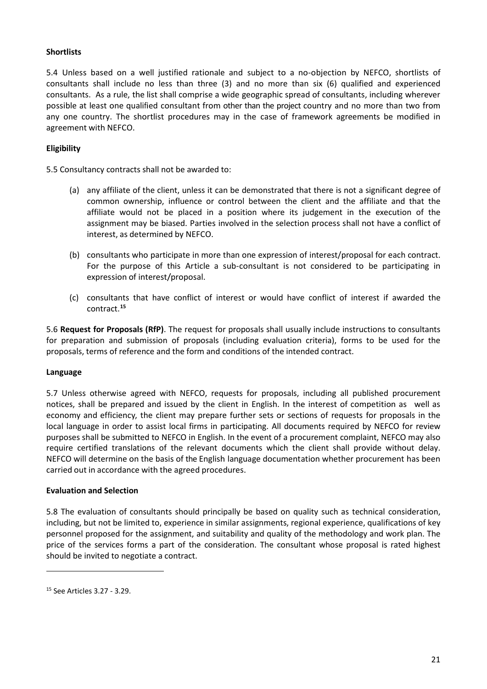## <span id="page-20-0"></span>**Shortlists**

5.4 Unless based on a well justified rationale and subject to a no-objection by NEFCO, shortlists of consultants shall include no less than three (3) and no more than six (6) qualified and experienced consultants. As a rule, the list shall comprise a wide geographic spread of consultants, including wherever possible at least one qualified consultant from other than the project country and no more than two from any one country. The shortlist procedures may in the case of framework agreements be modified in agreement with NEFCO.

### <span id="page-20-1"></span>**Eligibility**

5.5 Consultancy contracts shall not be awarded to:

- (a) any affiliate of the client, unless it can be demonstrated that there is not a significant degree of common ownership, influence or control between the client and the affiliate and that the affiliate would not be placed in a position where its judgement in the execution of the assignment may be biased. Parties involved in the selection process shall not have a conflict of interest, as determined by NEFCO.
- (b) consultants who participate in more than one expression of interest/proposal for each contract. For the purpose of this Article a sub-consultant is not considered to be participating in expression of interest/proposal.
- (c) consultants that have conflict of interest or would have conflict of interest if awarded the contract.**[15](#page-20-4)**

5.6 **Request for Proposals (RfP)**. The request for proposals shall usually include instructions to consultants for preparation and submission of proposals (including evaluation criteria), forms to be used for the proposals, terms of reference and the form and conditions of the intended contract.

#### <span id="page-20-2"></span>**Language**

5.7 Unless otherwise agreed with NEFCO, requests for proposals, including all published procurement notices, shall be prepared and issued by the client in English. In the interest of competition as well as economy and efficiency, the client may prepare further sets or sections of requests for proposals in the local language in order to assist local firms in participating. All documents required by NEFCO for review purposes shall be submitted to NEFCO in English. In the event of a procurement complaint, NEFCO may also require certified translations of the relevant documents which the client shall provide without delay. NEFCO will determine on the basis of the English language documentation whether procurement has been carried out in accordance with the agreed procedures.

#### <span id="page-20-3"></span>**Evaluation and Selection**

5.8 The evaluation of consultants should principally be based on quality such as technical consideration, including, but not be limited to, experience in similar assignments, regional experience, qualifications of key personnel proposed for the assignment, and suitability and quality of the methodology and work plan. The price of the services forms a part of the consideration. The consultant whose proposal is rated highest should be invited to negotiate a contract.

<span id="page-20-4"></span><sup>15</sup> See Articles 3.27 - 3.29.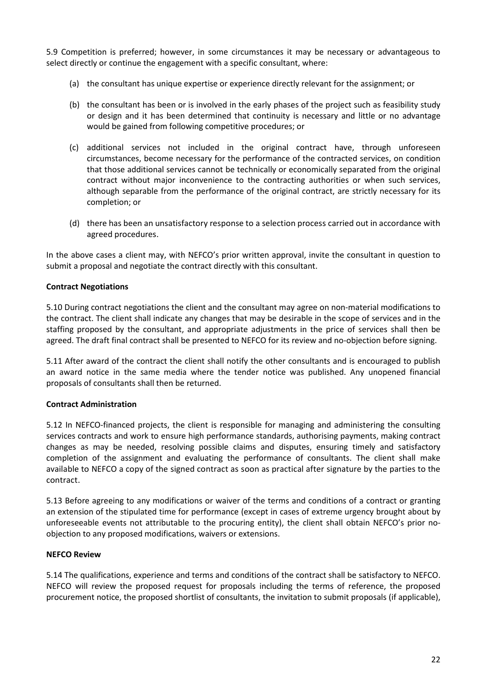5.9 Competition is preferred; however, in some circumstances it may be necessary or advantageous to select directly or continue the engagement with a specific consultant, where:

- (a) the consultant has unique expertise or experience directly relevant for the assignment; or
- (b) the consultant has been or is involved in the early phases of the project such as feasibility study or design and it has been determined that continuity is necessary and little or no advantage would be gained from following competitive procedures; or
- (c) additional services not included in the original contract have, through unforeseen circumstances, become necessary for the performance of the contracted services, on condition that those additional services cannot be technically or economically separated from the original contract without major inconvenience to the contracting authorities or when such services, although separable from the performance of the original contract, are strictly necessary for its completion; or
- (d) there has been an unsatisfactory response to a selection process carried out in accordance with agreed procedures.

In the above cases a client may, with NEFCO's prior written approval, invite the consultant in question to submit a proposal and negotiate the contract directly with this consultant.

### <span id="page-21-0"></span>**Contract Negotiations**

5.10 During contract negotiations the client and the consultant may agree on non-material modifications to the contract. The client shall indicate any changes that may be desirable in the scope of services and in the staffing proposed by the consultant, and appropriate adjustments in the price of services shall then be agreed. The draft final contract shall be presented to NEFCO for its review and no-objection before signing.

5.11 After award of the contract the client shall notify the other consultants and is encouraged to publish an award notice in the same media where the tender notice was published. Any unopened financial proposals of consultants shall then be returned.

#### <span id="page-21-1"></span>**Contract Administration**

5.12 In NEFCO-financed projects, the client is responsible for managing and administering the consulting services contracts and work to ensure high performance standards, authorising payments, making contract changes as may be needed, resolving possible claims and disputes, ensuring timely and satisfactory completion of the assignment and evaluating the performance of consultants. The client shall make available to NEFCO a copy of the signed contract as soon as practical after signature by the parties to the contract.

5.13 Before agreeing to any modifications or waiver of the terms and conditions of a contract or granting an extension of the stipulated time for performance (except in cases of extreme urgency brought about by unforeseeable events not attributable to the procuring entity), the client shall obtain NEFCO's prior noobjection to any proposed modifications, waivers or extensions.

### <span id="page-21-2"></span>**NEFCO Review**

5.14 The qualifications, experience and terms and conditions of the contract shall be satisfactory to NEFCO. NEFCO will review the proposed request for proposals including the terms of reference, the proposed procurement notice, the proposed shortlist of consultants, the invitation to submit proposals (if applicable),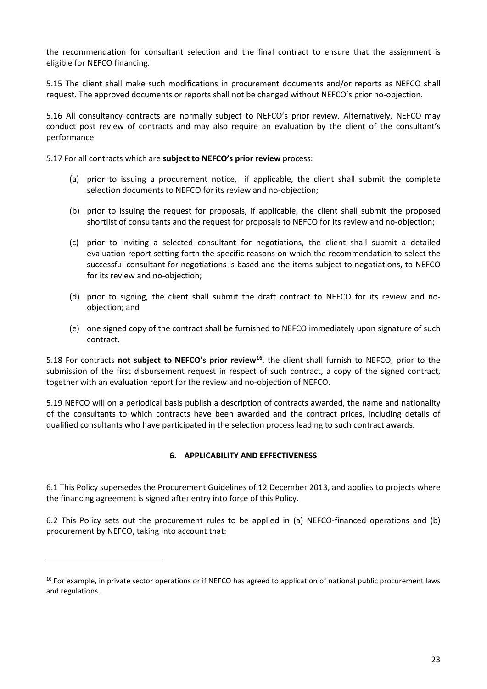the recommendation for consultant selection and the final contract to ensure that the assignment is eligible for NEFCO financing.

5.15 The client shall make such modifications in procurement documents and/or reports as NEFCO shall request. The approved documents or reports shall not be changed without NEFCO's prior no-objection.

5.16 All consultancy contracts are normally subject to NEFCO's prior review. Alternatively, NEFCO may conduct post review of contracts and may also require an evaluation by the client of the consultant's performance.

5.17 For all contracts which are **subject to NEFCO's prior review** process:

- (a) prior to issuing a procurement notice, if applicable, the client shall submit the complete selection documents to NEFCO for its review and no-objection;
- (b) prior to issuing the request for proposals, if applicable, the client shall submit the proposed shortlist of consultants and the request for proposals to NEFCO for its review and no-objection;
- (c) prior to inviting a selected consultant for negotiations, the client shall submit a detailed evaluation report setting forth the specific reasons on which the recommendation to select the successful consultant for negotiations is based and the items subject to negotiations, to NEFCO for its review and no-objection;
- (d) prior to signing, the client shall submit the draft contract to NEFCO for its review and noobjection; and
- (e) one signed copy of the contract shall be furnished to NEFCO immediately upon signature of such contract.

5.18 For contracts **not subject to NEFCO's prior review[16](#page-22-1)**, the client shall furnish to NEFCO, prior to the submission of the first disbursement request in respect of such contract, a copy of the signed contract, together with an evaluation report for the review and no-objection of NEFCO.

<span id="page-22-0"></span>5.19 NEFCO will on a periodical basis publish a description of contracts awarded, the name and nationality of the consultants to which contracts have been awarded and the contract prices, including details of qualified consultants who have participated in the selection process leading to such contract awards.

# **6. APPLICABILITY AND EFFECTIVENESS**

6.1 This Policy supersedes the Procurement Guidelines of 12 December 2013, and applies to projects where the financing agreement is signed after entry into force of this Policy.

6.2 This Policy sets out the procurement rules to be applied in (a) NEFCO-financed operations and (b) procurement by NEFCO, taking into account that:

<span id="page-22-1"></span> $16$  For example, in private sector operations or if NEFCO has agreed to application of national public procurement laws and regulations.